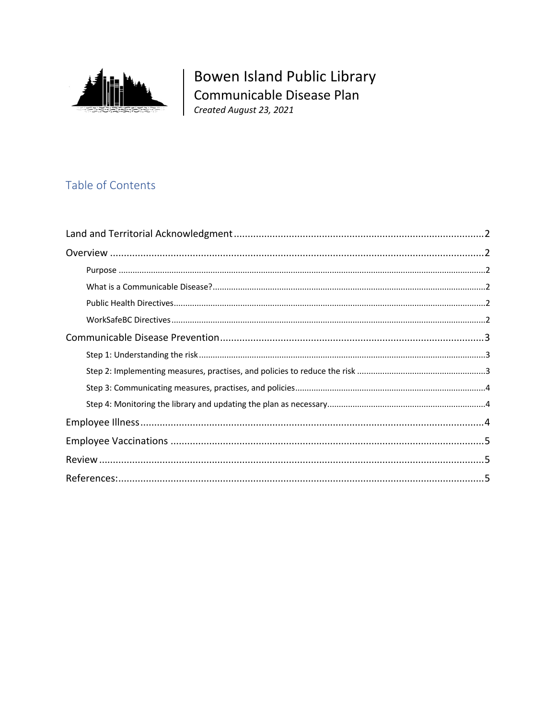

Bowen Island Public Library Communicable Disease Plan<br>Created August 23, 2021

## Table of Contents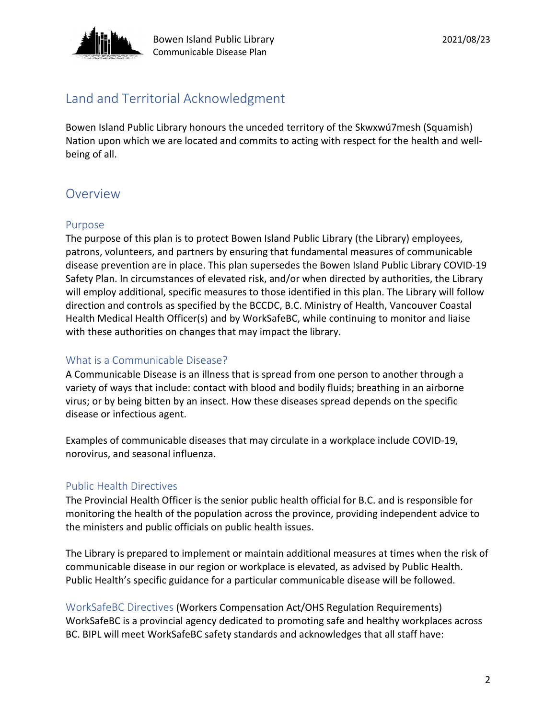

# Land and Territorial Acknowledgment

Bowen Island Public Library honours the unceded territory of the Skwxwú7mesh (Squamish) Nation upon which we are located and commits to acting with respect for the health and wellbeing of all.

# **Overview**

### Purpose

The purpose of this plan is to protect Bowen Island Public Library (the Library) employees, patrons, volunteers, and partners by ensuring that fundamental measures of communicable disease prevention are in place. This plan supersedes the Bowen Island Public Library COVID-19 Safety Plan. In circumstances of elevated risk, and/or when directed by authorities, the Library will employ additional, specific measures to those identified in this plan. The Library will follow direction and controls as specified by the BCCDC, B.C. Ministry of Health, Vancouver Coastal Health Medical Health Officer(s) and by WorkSafeBC, while continuing to monitor and liaise with these authorities on changes that may impact the library.

## What is a Communicable Disease?

A Communicable Disease is an illness that is spread from one person to another through a variety of ways that include: contact with blood and bodily fluids; breathing in an airborne virus; or by being bitten by an insect. How these diseases spread depends on the specific disease or infectious agent.

Examples of communicable diseases that may circulate in a workplace include COVID-19, norovirus, and seasonal influenza.

## Public Health Directives

The Provincial Health Officer is the senior public health official for B.C. and is responsible for monitoring the health of the population across the province, providing independent advice to the ministers and public officials on public health issues.

The Library is prepared to implement or maintain additional measures at times when the risk of communicable disease in our region or workplace is elevated, as advised by Public Health. Public Health's specific guidance for a particular communicable disease will be followed.

WorkSafeBC Directives (Workers Compensation Act/OHS Regulation Requirements) WorkSafeBC is a provincial agency dedicated to promoting safe and healthy workplaces across BC. BIPL will meet WorkSafeBC safety standards and acknowledges that all staff have: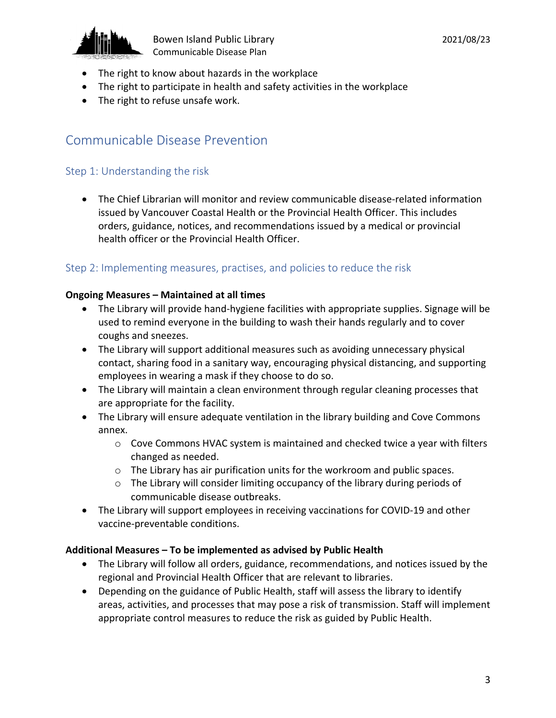

- The right to know about hazards in the workplace
- The right to participate in health and safety activities in the workplace
- The right to refuse unsafe work.

## Communicable Disease Prevention

### Step 1: Understanding the risk

• The Chief Librarian will monitor and review communicable disease-related information issued by Vancouver Coastal Health or the Provincial Health Officer. This includes orders, guidance, notices, and recommendations issued by a medical or provincial health officer or the Provincial Health Officer.

### Step 2: Implementing measures, practises, and policies to reduce the risk

#### **Ongoing Measures – Maintained at all times**

- The Library will provide hand-hygiene facilities with appropriate supplies. Signage will be used to remind everyone in the building to wash their hands regularly and to cover coughs and sneezes.
- The Library will support additional measures such as avoiding unnecessary physical contact, sharing food in a sanitary way, encouraging physical distancing, and supporting employees in wearing a mask if they choose to do so.
- The Library will maintain a clean environment through regular cleaning processes that are appropriate for the facility.
- The Library will ensure adequate ventilation in the library building and Cove Commons annex.
	- o Cove Commons HVAC system is maintained and checked twice a year with filters changed as needed.
	- $\circ$  The Library has air purification units for the workroom and public spaces.
	- o The Library will consider limiting occupancy of the library during periods of communicable disease outbreaks.
- The Library will support employees in receiving vaccinations for COVID-19 and other vaccine-preventable conditions.

#### **Additional Measures – To be implemented as advised by Public Health**

- The Library will follow all orders, guidance, recommendations, and notices issued by the regional and Provincial Health Officer that are relevant to libraries.
- Depending on the guidance of Public Health, staff will assess the library to identify areas, activities, and processes that may pose a risk of transmission. Staff will implement appropriate control measures to reduce the risk as guided by Public Health.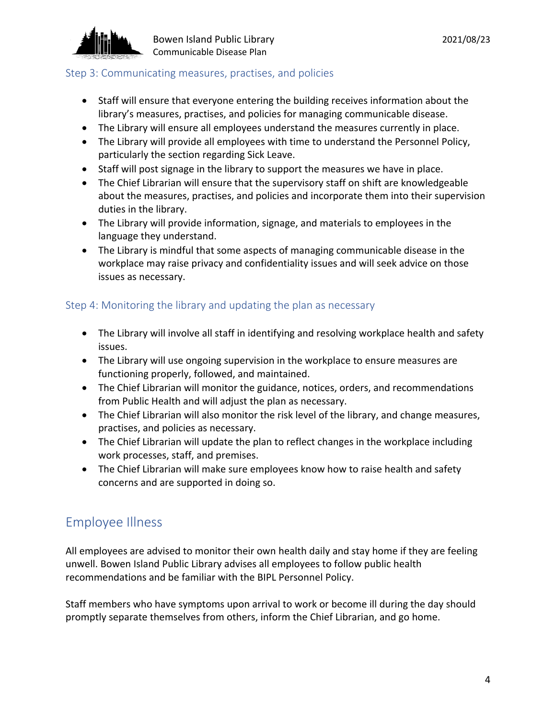

#### Step 3: Communicating measures, practises, and policies

- Staff will ensure that everyone entering the building receives information about the library's measures, practises, and policies for managing communicable disease.
- The Library will ensure all employees understand the measures currently in place.
- The Library will provide all employees with time to understand the Personnel Policy, particularly the section regarding Sick Leave.
- Staff will post signage in the library to support the measures we have in place.
- The Chief Librarian will ensure that the supervisory staff on shift are knowledgeable about the measures, practises, and policies and incorporate them into their supervision duties in the library.
- The Library will provide information, signage, and materials to employees in the language they understand.
- The Library is mindful that some aspects of managing communicable disease in the workplace may raise privacy and confidentiality issues and will seek advice on those issues as necessary.

## Step 4: Monitoring the library and updating the plan as necessary

- The Library will involve all staff in identifying and resolving workplace health and safety issues.
- The Library will use ongoing supervision in the workplace to ensure measures are functioning properly, followed, and maintained.
- The Chief Librarian will monitor the guidance, notices, orders, and recommendations from Public Health and will adjust the plan as necessary.
- The Chief Librarian will also monitor the risk level of the library, and change measures, practises, and policies as necessary.
- The Chief Librarian will update the plan to reflect changes in the workplace including work processes, staff, and premises.
- The Chief Librarian will make sure employees know how to raise health and safety concerns and are supported in doing so.

## Employee Illness

All employees are advised to monitor their own health daily and stay home if they are feeling unwell. Bowen Island Public Library advises all employees to follow public health recommendations and be familiar with the BIPL Personnel Policy.

Staff members who have symptoms upon arrival to work or become ill during the day should promptly separate themselves from others, inform the Chief Librarian, and go home.